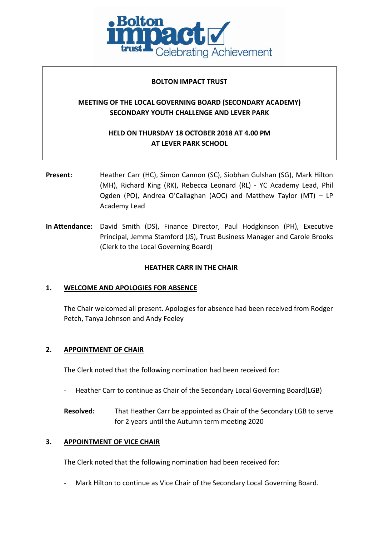

## **BOLTON IMPACT TRUST**

# **MEETING OF THE LOCAL GOVERNING BOARD (SECONDARY ACADEMY) SECONDARY YOUTH CHALLENGE AND LEVER PARK**

# **HELD ON THURSDAY 18 OCTOBER 2018 AT 4.00 PM AT LEVER PARK SCHOOL**

- **Present:** Heather Carr (HC), Simon Cannon (SC), Siobhan Gulshan (SG), Mark Hilton (MH), Richard King (RK), Rebecca Leonard (RL) - YC Academy Lead, Phil Ogden (PO), Andrea O'Callaghan (AOC) and Matthew Taylor (MT) – LP Academy Lead
- **In Attendance:** David Smith (DS), Finance Director, Paul Hodgkinson (PH), Executive Principal, Jemma Stamford (JS), Trust Business Manager and Carole Brooks (Clerk to the Local Governing Board)

# **HEATHER CARR IN THE CHAIR**

# **1. WELCOME AND APOLOGIES FOR ABSENCE**

The Chair welcomed all present. Apologies for absence had been received from Rodger Petch, Tanya Johnson and Andy Feeley

### **2. APPOINTMENT OF CHAIR**

The Clerk noted that the following nomination had been received for:

- Heather Carr to continue as Chair of the Secondary Local Governing Board(LGB)
- **Resolved:** That Heather Carr be appointed as Chair of the Secondary LGB to serve for 2 years until the Autumn term meeting 2020

### **3. APPOINTMENT OF VICE CHAIR**

The Clerk noted that the following nomination had been received for:

Mark Hilton to continue as Vice Chair of the Secondary Local Governing Board.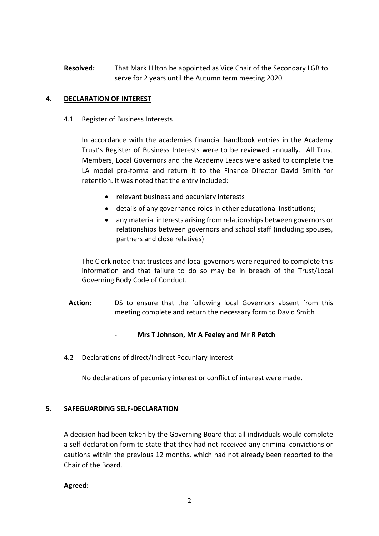**Resolved:** That Mark Hilton be appointed as Vice Chair of the Secondary LGB to serve for 2 years until the Autumn term meeting 2020

# **4. DECLARATION OF INTEREST**

## 4.1 Register of Business Interests

In accordance with the academies financial handbook entries in the Academy Trust's Register of Business Interests were to be reviewed annually. All Trust Members, Local Governors and the Academy Leads were asked to complete the LA model pro-forma and return it to the Finance Director David Smith for retention. It was noted that the entry included:

- relevant business and pecuniary interests
- details of any governance roles in other educational institutions;
- any material interests arising from relationships between governors or relationships between governors and school staff (including spouses, partners and close relatives)

The Clerk noted that trustees and local governors were required to complete this information and that failure to do so may be in breach of the Trust/Local Governing Body Code of Conduct.

Action: DS to ensure that the following local Governors absent from this meeting complete and return the necessary form to David Smith

# - **Mrs T Johnson, Mr A Feeley and Mr R Petch**

4.2 Declarations of direct/indirect Pecuniary Interest

No declarations of pecuniary interest or conflict of interest were made.

# **5. SAFEGUARDING SELF-DECLARATION**

A decision had been taken by the Governing Board that all individuals would complete a self-declaration form to state that they had not received any criminal convictions or cautions within the previous 12 months, which had not already been reported to the Chair of the Board.

**Agreed:**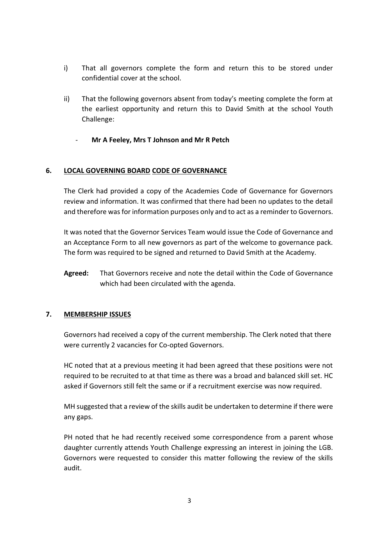- i) That all governors complete the form and return this to be stored under confidential cover at the school.
- ii) That the following governors absent from today's meeting complete the form at the earliest opportunity and return this to David Smith at the school Youth Challenge:
	- **Mr A Feeley, Mrs T Johnson and Mr R Petch**

## **6. LOCAL GOVERNING BOARD CODE OF GOVERNANCE**

The Clerk had provided a copy of the Academies Code of Governance for Governors review and information. It was confirmed that there had been no updates to the detail and therefore was for information purposes only and to act as a reminder to Governors.

It was noted that the Governor Services Team would issue the Code of Governance and an Acceptance Form to all new governors as part of the welcome to governance pack. The form was required to be signed and returned to David Smith at the Academy.

**Agreed:** That Governors receive and note the detail within the Code of Governance which had been circulated with the agenda.

# **7. MEMBERSHIP ISSUES**

Governors had received a copy of the current membership. The Clerk noted that there were currently 2 vacancies for Co-opted Governors.

HC noted that at a previous meeting it had been agreed that these positions were not required to be recruited to at that time as there was a broad and balanced skill set. HC asked if Governors still felt the same or if a recruitment exercise was now required.

MH suggested that a review of the skills audit be undertaken to determine if there were any gaps.

PH noted that he had recently received some correspondence from a parent whose daughter currently attends Youth Challenge expressing an interest in joining the LGB. Governors were requested to consider this matter following the review of the skills audit.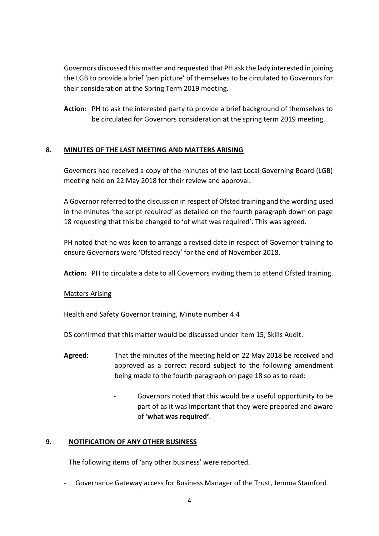Governors discussed this matter and requested that PH ask the lady interested in joining the LGB to provide a brief 'pen picture' of themselves to be circulated to Governors for their consideration at the Spring Term 2019 meeting.

**Action**: PH to ask the interested party to provide a brief background of themselves to be circulated for Governors consideration at the spring term 2019 meeting.

# **8. MINUTES OF THE LAST MEETING AND MATTERS ARISING**

Governors had received a copy of the minutes of the last Local Governing Board (LGB) meeting held on 22 May 2018 for their review and approval.

A Governor referred to the discussion in respect of Ofsted training and the wording used in the minutes 'the script required' as detailed on the fourth paragraph down on page 18 requesting that this be changed to 'of what was required'. This was agreed.

PH noted that he was keen to arrange a revised date in respect of Governor training to ensure Governors were 'Ofsted ready' for the end of November 2018.

**Action:** PH to circulate a date to all Governors inviting them to attend Ofsted training.

# Matters Arising

# Health and Safety Governor training, Minute number 4.4

DS confirmed that this matter would be discussed under item 15, Skills Audit.

- **Agreed:** That the minutes of the meeting held on 22 May 2018 be received and approved as a correct record subject to the following amendment being made to the fourth paragraph on page 18 so as to read:
	- Governors noted that this would be a useful opportunity to be part of as it was important that they were prepared and aware of '**what was required'**.

# **9. NOTIFICATION OF ANY OTHER BUSINESS**

The following items of 'any other business' were reported.

- Governance Gateway access for Business Manager of the Trust, Jemma Stamford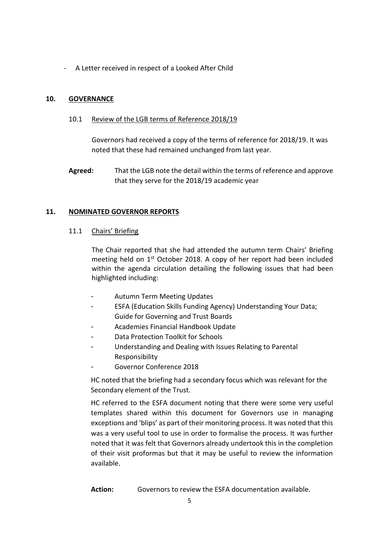- A Letter received in respect of a Looked After Child

## **10. GOVERNANCE**

10.1 Review of the LGB terms of Reference 2018/19

Governors had received a copy of the terms of reference for 2018/19. It was noted that these had remained unchanged from last year.

**Agreed:** That the LGB note the detail within the terms of reference and approve that they serve for the 2018/19 academic year

### **11. NOMINATED GOVERNOR REPORTS**

### 11.1 Chairs' Briefing

The Chair reported that she had attended the autumn term Chairs' Briefing meeting held on  $1<sup>st</sup>$  October 2018. A copy of her report had been included within the agenda circulation detailing the following issues that had been highlighted including:

- Autumn Term Meeting Updates
- ESFA (Education Skills Funding Agency) Understanding Your Data; Guide for Governing and Trust Boards
- Academies Financial Handbook Update
- Data Protection Toolkit for Schools
- Understanding and Dealing with Issues Relating to Parental Responsibility
- Governor Conference 2018

HC noted that the briefing had a secondary focus which was relevant for the Secondary element of the Trust.

HC referred to the ESFA document noting that there were some very useful templates shared within this document for Governors use in managing exceptions and 'blips' as part of their monitoring process. It was noted that this was a very useful tool to use in order to formalise the process. It was further noted that it was felt that Governors already undertook this in the completion of their visit proformas but that it may be useful to review the information available.

**Action:** Governors to review the ESFA documentation available.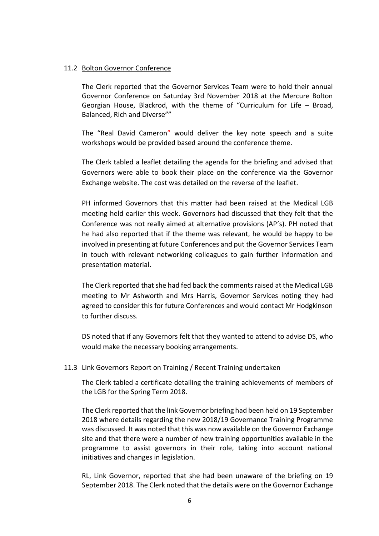### 11.2 Bolton Governor Conference

The Clerk reported that the Governor Services Team were to hold their annual Governor Conference on Saturday 3rd November 2018 at the Mercure Bolton Georgian House, Blackrod, with the theme of "Curriculum for Life – Broad, Balanced, Rich and Diverse""

The "Real David Cameron" would deliver the key note speech and a suite workshops would be provided based around the conference theme.

The Clerk tabled a leaflet detailing the agenda for the briefing and advised that Governors were able to book their place on the conference via the Governor Exchange website. The cost was detailed on the reverse of the leaflet.

PH informed Governors that this matter had been raised at the Medical LGB meeting held earlier this week. Governors had discussed that they felt that the Conference was not really aimed at alternative provisions (AP's). PH noted that he had also reported that if the theme was relevant, he would be happy to be involved in presenting at future Conferences and put the Governor Services Team in touch with relevant networking colleagues to gain further information and presentation material.

The Clerk reported that she had fed back the comments raised at the Medical LGB meeting to Mr Ashworth and Mrs Harris, Governor Services noting they had agreed to consider this for future Conferences and would contact Mr Hodgkinson to further discuss.

DS noted that if any Governors felt that they wanted to attend to advise DS, who would make the necessary booking arrangements.

### 11.3 Link Governors Report on Training / Recent Training undertaken

The Clerk tabled a certificate detailing the training achievements of members of the LGB for the Spring Term 2018.

The Clerk reported that the link Governor briefing had been held on 19 September 2018 where details regarding the new 2018/19 Governance Training Programme was discussed. It was noted that this was now available on the Governor Exchange site and that there were a number of new training opportunities available in the programme to assist governors in their role, taking into account national initiatives and changes in legislation.

RL, Link Governor, reported that she had been unaware of the briefing on 19 September 2018. The Clerk noted that the details were on the Governor Exchange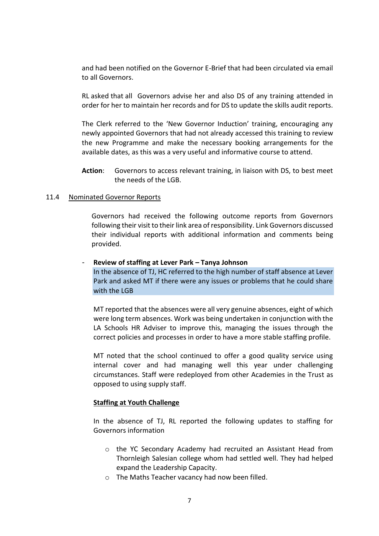and had been notified on the Governor E-Brief that had been circulated via email to all Governors.

RL asked that all Governors advise her and also DS of any training attended in order for her to maintain her records and for DS to update the skills audit reports.

The Clerk referred to the 'New Governor Induction' training, encouraging any newly appointed Governors that had not already accessed this training to review the new Programme and make the necessary booking arrangements for the available dates, as this was a very useful and informative course to attend.

**Action**: Governors to access relevant training, in liaison with DS, to best meet the needs of the LGB.

#### 11.4 Nominated Governor Reports

Governors had received the following outcome reports from Governors following their visit to their link area of responsibility. Link Governors discussed their individual reports with additional information and comments being provided.

#### - **Review of staffing at Lever Park – Tanya Johnson**

In the absence of TJ, HC referred to the high number of staff absence at Lever Park and asked MT if there were any issues or problems that he could share with the LGB

MT reported that the absences were all very genuine absences, eight of which were long term absences. Work was being undertaken in conjunction with the LA Schools HR Adviser to improve this, managing the issues through the correct policies and processes in order to have a more stable staffing profile.

MT noted that the school continued to offer a good quality service using internal cover and had managing well this year under challenging circumstances. Staff were redeployed from other Academies in the Trust as opposed to using supply staff.

#### **Staffing at Youth Challenge**

In the absence of TJ, RL reported the following updates to staffing for Governors information

- o the YC Secondary Academy had recruited an Assistant Head from Thornleigh Salesian college whom had settled well. They had helped expand the Leadership Capacity.
- o The Maths Teacher vacancy had now been filled.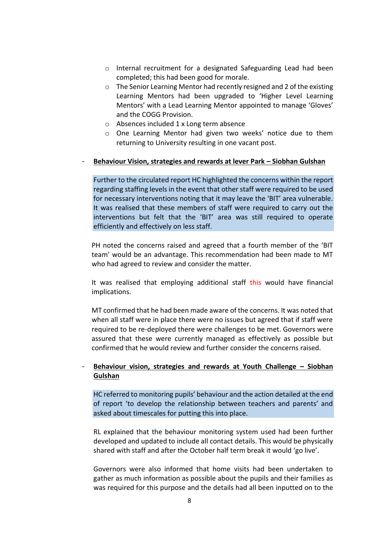- o Internal recruitment for a designated Safeguarding Lead had been completed; this had been good for morale.
- o The Senior Learning Mentor had recently resigned and 2 of the existing Learning Mentors had been upgraded to 'Higher Level Learning Mentors' with a Lead Learning Mentor appointed to manage 'Gloves' and the COGG Provision.
- o Absences included 1 x Long term absence
- o One Learning Mentor had given two weeks' notice due to them returning to University resulting in one vacant post.

#### - **Behaviour Vision, strategies and rewards at lever Park – Siobhan Gulshan**

Further to the circulated report HC highlighted the concerns within the report regarding staffing levels in the event that other staff were required to be used for necessary interventions noting that it may leave the 'BIT' area vulnerable. It was realised that these members of staff were required to carry out the interventions but felt that the 'BIT' area was still required to operate efficiently and effectively on less staff.

PH noted the concerns raised and agreed that a fourth member of the 'BIT team' would be an advantage. This recommendation had been made to MT who had agreed to review and consider the matter.

It was realised that employing additional staff this would have financial implications.

MT confirmed that he had been made aware of the concerns. It was noted that when all staff were in place there were no issues but agreed that if staff were required to be re-deployed there were challenges to be met. Governors were assured that these were currently managed as effectively as possible but confirmed that he would review and further consider the concerns raised.

## - **Behaviour vision, strategies and rewards at Youth Challenge – Siobhan Gulshan**

HC referred to monitoring pupils' behaviour and the action detailed at the end of report 'to develop the relationship between teachers and parents' and asked about timescales for putting this into place.

RL explained that the behaviour monitoring system used had been further developed and updated to include all contact details. This would be physically shared with staff and after the October half term break it would 'go live'.

Governors were also informed that home visits had been undertaken to gather as much information as possible about the pupils and their families as was required for this purpose and the details had all been inputted on to the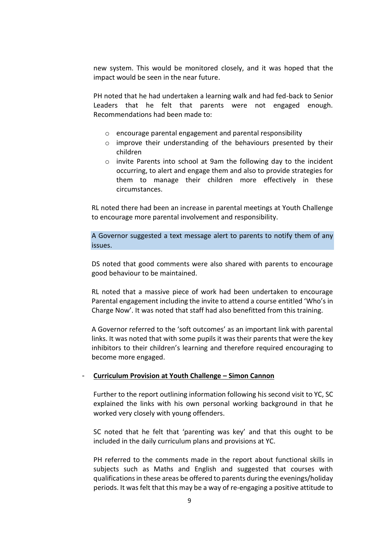new system. This would be monitored closely, and it was hoped that the impact would be seen in the near future.

PH noted that he had undertaken a learning walk and had fed-back to Senior Leaders that he felt that parents were not engaged enough. Recommendations had been made to:

- o encourage parental engagement and parental responsibility
- o improve their understanding of the behaviours presented by their children
- o invite Parents into school at 9am the following day to the incident occurring, to alert and engage them and also to provide strategies for them to manage their children more effectively in these circumstances.

RL noted there had been an increase in parental meetings at Youth Challenge to encourage more parental involvement and responsibility.

A Governor suggested a text message alert to parents to notify them of any issues.

DS noted that good comments were also shared with parents to encourage good behaviour to be maintained.

RL noted that a massive piece of work had been undertaken to encourage Parental engagement including the invite to attend a course entitled 'Who's in Charge Now'. It was noted that staff had also benefitted from this training.

A Governor referred to the 'soft outcomes' as an important link with parental links. It was noted that with some pupils it was their parents that were the key inhibitors to their children's learning and therefore required encouraging to become more engaged.

#### - **Curriculum Provision at Youth Challenge – Simon Cannon**

Further to the report outlining information following his second visit to YC, SC explained the links with his own personal working background in that he worked very closely with young offenders.

SC noted that he felt that 'parenting was key' and that this ought to be included in the daily curriculum plans and provisions at YC.

PH referred to the comments made in the report about functional skills in subjects such as Maths and English and suggested that courses with qualifications in these areas be offered to parents during the evenings/holiday periods. It was felt that this may be a way of re-engaging a positive attitude to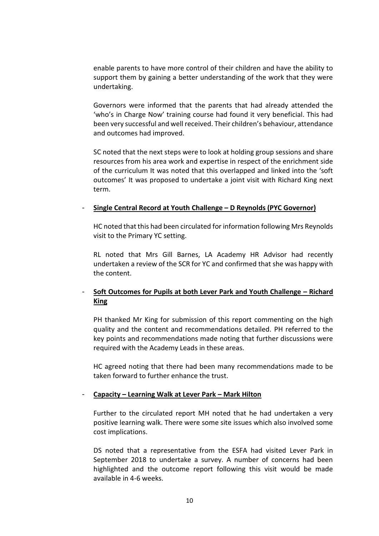enable parents to have more control of their children and have the ability to support them by gaining a better understanding of the work that they were undertaking.

Governors were informed that the parents that had already attended the 'who's in Charge Now' training course had found it very beneficial. This had been very successful and well received. Their children's behaviour, attendance and outcomes had improved.

SC noted that the next steps were to look at holding group sessions and share resources from his area work and expertise in respect of the enrichment side of the curriculum It was noted that this overlapped and linked into the 'soft outcomes' It was proposed to undertake a joint visit with Richard King next term.

### - **Single Central Record at Youth Challenge – D Reynolds (PYC Governor)**

HC noted that this had been circulated for information following Mrs Reynolds visit to the Primary YC setting.

RL noted that Mrs Gill Barnes, LA Academy HR Advisor had recently undertaken a review of the SCR for YC and confirmed that she was happy with the content.

# - **Soft Outcomes for Pupils at both Lever Park and Youth Challenge – Richard King**

PH thanked Mr King for submission of this report commenting on the high quality and the content and recommendations detailed. PH referred to the key points and recommendations made noting that further discussions were required with the Academy Leads in these areas.

HC agreed noting that there had been many recommendations made to be taken forward to further enhance the trust.

### - **Capacity – Learning Walk at Lever Park – Mark Hilton**

Further to the circulated report MH noted that he had undertaken a very positive learning walk. There were some site issues which also involved some cost implications.

DS noted that a representative from the ESFA had visited Lever Park in September 2018 to undertake a survey. A number of concerns had been highlighted and the outcome report following this visit would be made available in 4-6 weeks.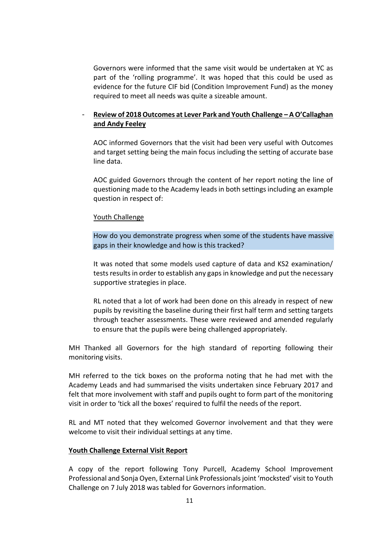Governors were informed that the same visit would be undertaken at YC as part of the 'rolling programme'. It was hoped that this could be used as evidence for the future CIF bid (Condition Improvement Fund) as the money required to meet all needs was quite a sizeable amount.

# - **Review of 2018 Outcomes at Lever Park and Youth Challenge – A O'Callaghan and Andy Feeley**

AOC informed Governors that the visit had been very useful with Outcomes and target setting being the main focus including the setting of accurate base line data.

AOC guided Governors through the content of her report noting the line of questioning made to the Academy leads in both settings including an example question in respect of:

### Youth Challenge

How do you demonstrate progress when some of the students have massive gaps in their knowledge and how is this tracked?

It was noted that some models used capture of data and KS2 examination/ tests results in order to establish any gaps in knowledge and put the necessary supportive strategies in place.

RL noted that a lot of work had been done on this already in respect of new pupils by revisiting the baseline during their first half term and setting targets through teacher assessments. These were reviewed and amended regularly to ensure that the pupils were being challenged appropriately.

MH Thanked all Governors for the high standard of reporting following their monitoring visits.

MH referred to the tick boxes on the proforma noting that he had met with the Academy Leads and had summarised the visits undertaken since February 2017 and felt that more involvement with staff and pupils ought to form part of the monitoring visit in order to 'tick all the boxes' required to fulfil the needs of the report.

RL and MT noted that they welcomed Governor involvement and that they were welcome to visit their individual settings at any time.

#### **Youth Challenge External Visit Report**

A copy of the report following Tony Purcell, Academy School Improvement Professional and Sonja Oyen, External Link Professionals joint 'mocksted' visit to Youth Challenge on 7 July 2018 was tabled for Governors information.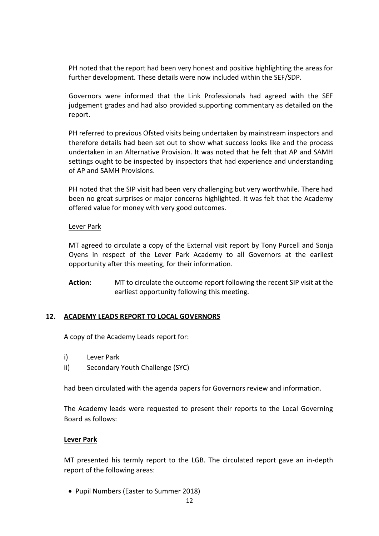PH noted that the report had been very honest and positive highlighting the areas for further development. These details were now included within the SEF/SDP.

Governors were informed that the Link Professionals had agreed with the SEF judgement grades and had also provided supporting commentary as detailed on the report.

PH referred to previous Ofsted visits being undertaken by mainstream inspectors and therefore details had been set out to show what success looks like and the process undertaken in an Alternative Provision. It was noted that he felt that AP and SAMH settings ought to be inspected by inspectors that had experience and understanding of AP and SAMH Provisions.

PH noted that the SIP visit had been very challenging but very worthwhile. There had been no great surprises or major concerns highlighted. It was felt that the Academy offered value for money with very good outcomes.

### Lever Park

MT agreed to circulate a copy of the External visit report by Tony Purcell and Sonja Oyens in respect of the Lever Park Academy to all Governors at the earliest opportunity after this meeting, for their information.

**Action:** MT to circulate the outcome report following the recent SIP visit at the earliest opportunity following this meeting.

### **12. ACADEMY LEADS REPORT TO LOCAL GOVERNORS**

A copy of the Academy Leads report for:

- i) Lever Park
- ii) Secondary Youth Challenge (SYC)

had been circulated with the agenda papers for Governors review and information.

The Academy leads were requested to present their reports to the Local Governing Board as follows:

### **Lever Park**

MT presented his termly report to the LGB. The circulated report gave an in-depth report of the following areas:

• Pupil Numbers (Easter to Summer 2018)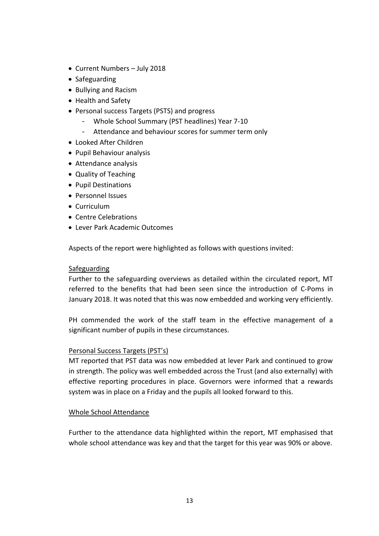- Current Numbers July 2018
- Safeguarding
- Bullying and Racism
- Health and Safety
- Personal success Targets (PSTS) and progress
	- Whole School Summary (PST headlines) Year 7-10
	- Attendance and behaviour scores for summer term only
- Looked After Children
- Pupil Behaviour analysis
- Attendance analysis
- Quality of Teaching
- Pupil Destinations
- Personnel Issues
- Curriculum
- Centre Celebrations
- Lever Park Academic Outcomes

Aspects of the report were highlighted as follows with questions invited:

# Safeguarding

Further to the safeguarding overviews as detailed within the circulated report, MT referred to the benefits that had been seen since the introduction of C-Poms in January 2018. It was noted that this was now embedded and working very efficiently.

PH commended the work of the staff team in the effective management of a significant number of pupils in these circumstances.

# Personal Success Targets (PST's)

MT reported that PST data was now embedded at lever Park and continued to grow in strength. The policy was well embedded across the Trust (and also externally) with effective reporting procedures in place. Governors were informed that a rewards system was in place on a Friday and the pupils all looked forward to this.

# Whole School Attendance

Further to the attendance data highlighted within the report, MT emphasised that whole school attendance was key and that the target for this year was 90% or above.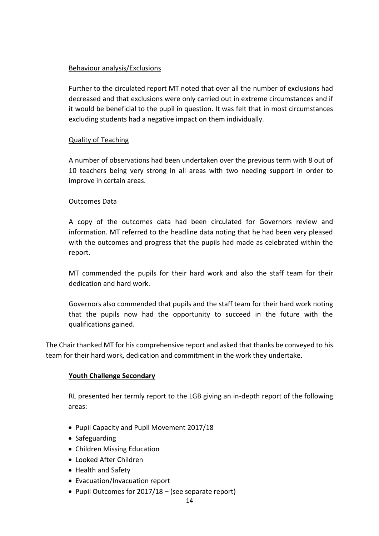# Behaviour analysis/Exclusions

Further to the circulated report MT noted that over all the number of exclusions had decreased and that exclusions were only carried out in extreme circumstances and if it would be beneficial to the pupil in question. It was felt that in most circumstances excluding students had a negative impact on them individually.

# Quality of Teaching

A number of observations had been undertaken over the previous term with 8 out of 10 teachers being very strong in all areas with two needing support in order to improve in certain areas.

## Outcomes Data

A copy of the outcomes data had been circulated for Governors review and information. MT referred to the headline data noting that he had been very pleased with the outcomes and progress that the pupils had made as celebrated within the report.

MT commended the pupils for their hard work and also the staff team for their dedication and hard work.

Governors also commended that pupils and the staff team for their hard work noting that the pupils now had the opportunity to succeed in the future with the qualifications gained.

The Chair thanked MT for his comprehensive report and asked that thanks be conveyed to his team for their hard work, dedication and commitment in the work they undertake.

# **Youth Challenge Secondary**

RL presented her termly report to the LGB giving an in-depth report of the following areas:

- Pupil Capacity and Pupil Movement 2017/18
- Safeguarding
- Children Missing Education
- Looked After Children
- Health and Safety
- Evacuation/Invacuation report
- Pupil Outcomes for 2017/18 (see separate report)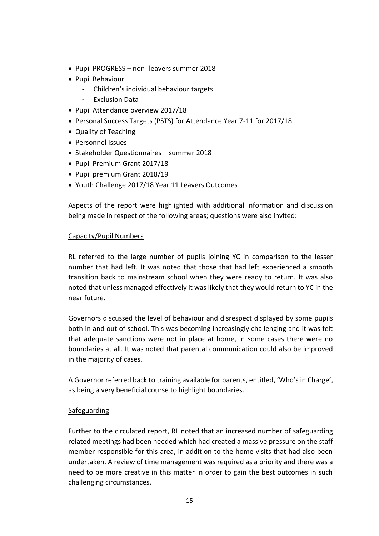- Pupil PROGRESS non- leavers summer 2018
- Pupil Behaviour
	- Children's individual behaviour targets
	- **Exclusion Data**
- Pupil Attendance overview 2017/18
- Personal Success Targets (PSTS) for Attendance Year 7-11 for 2017/18
- Quality of Teaching
- Personnel Issues
- Stakeholder Questionnaires summer 2018
- Pupil Premium Grant 2017/18
- Pupil premium Grant 2018/19
- Youth Challenge 2017/18 Year 11 Leavers Outcomes

Aspects of the report were highlighted with additional information and discussion being made in respect of the following areas; questions were also invited:

## Capacity/Pupil Numbers

RL referred to the large number of pupils joining YC in comparison to the lesser number that had left. It was noted that those that had left experienced a smooth transition back to mainstream school when they were ready to return. It was also noted that unless managed effectively it was likely that they would return to YC in the near future.

Governors discussed the level of behaviour and disrespect displayed by some pupils both in and out of school. This was becoming increasingly challenging and it was felt that adequate sanctions were not in place at home, in some cases there were no boundaries at all. It was noted that parental communication could also be improved in the majority of cases.

A Governor referred back to training available for parents, entitled, 'Who's in Charge', as being a very beneficial course to highlight boundaries.

# Safeguarding

Further to the circulated report, RL noted that an increased number of safeguarding related meetings had been needed which had created a massive pressure on the staff member responsible for this area, in addition to the home visits that had also been undertaken. A review of time management was required as a priority and there was a need to be more creative in this matter in order to gain the best outcomes in such challenging circumstances.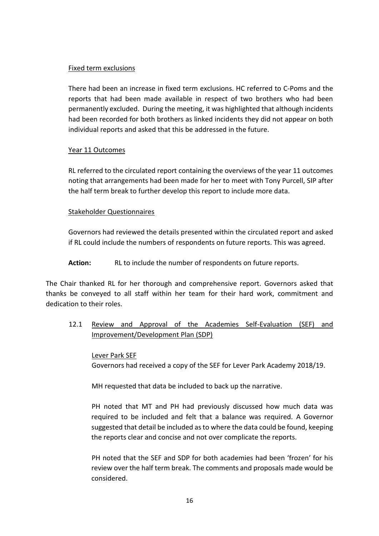## Fixed term exclusions

There had been an increase in fixed term exclusions. HC referred to C-Poms and the reports that had been made available in respect of two brothers who had been permanently excluded. During the meeting, it was highlighted that although incidents had been recorded for both brothers as linked incidents they did not appear on both individual reports and asked that this be addressed in the future.

# Year 11 Outcomes

RL referred to the circulated report containing the overviews of the year 11 outcomes noting that arrangements had been made for her to meet with Tony Purcell, SIP after the half term break to further develop this report to include more data.

## Stakeholder Questionnaires

Governors had reviewed the details presented within the circulated report and asked if RL could include the numbers of respondents on future reports. This was agreed.

**Action:** RL to include the number of respondents on future reports.

The Chair thanked RL for her thorough and comprehensive report. Governors asked that thanks be conveyed to all staff within her team for their hard work, commitment and dedication to their roles.

12.1 Review and Approval of the Academies Self-Evaluation (SEF) and Improvement/Development Plan (SDP)

Lever Park SEF Governors had received a copy of the SEF for Lever Park Academy 2018/19.

MH requested that data be included to back up the narrative.

PH noted that MT and PH had previously discussed how much data was required to be included and felt that a balance was required. A Governor suggested that detail be included as to where the data could be found, keeping the reports clear and concise and not over complicate the reports.

PH noted that the SEF and SDP for both academies had been 'frozen' for his review over the half term break. The comments and proposals made would be considered.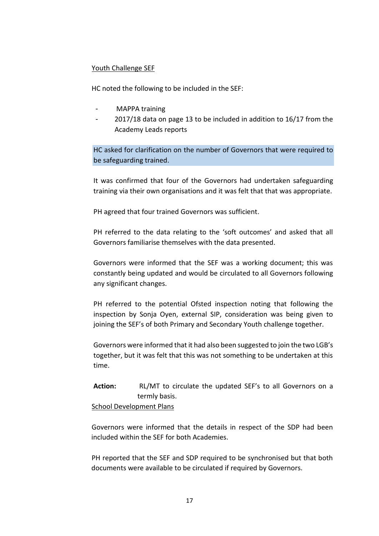## Youth Challenge SEF

HC noted the following to be included in the SEF:

- MAPPA training
- 2017/18 data on page 13 to be included in addition to 16/17 from the Academy Leads reports

HC asked for clarification on the number of Governors that were required to be safeguarding trained.

It was confirmed that four of the Governors had undertaken safeguarding training via their own organisations and it was felt that that was appropriate.

PH agreed that four trained Governors was sufficient.

PH referred to the data relating to the 'soft outcomes' and asked that all Governors familiarise themselves with the data presented.

Governors were informed that the SEF was a working document; this was constantly being updated and would be circulated to all Governors following any significant changes.

PH referred to the potential Ofsted inspection noting that following the inspection by Sonja Oyen, external SIP, consideration was being given to joining the SEF's of both Primary and Secondary Youth challenge together.

Governors were informed that it had also been suggested to join the two LGB's together, but it was felt that this was not something to be undertaken at this time.

**Action:** RL/MT to circulate the updated SEF's to all Governors on a termly basis.

School Development Plans

Governors were informed that the details in respect of the SDP had been included within the SEF for both Academies.

PH reported that the SEF and SDP required to be synchronised but that both documents were available to be circulated if required by Governors.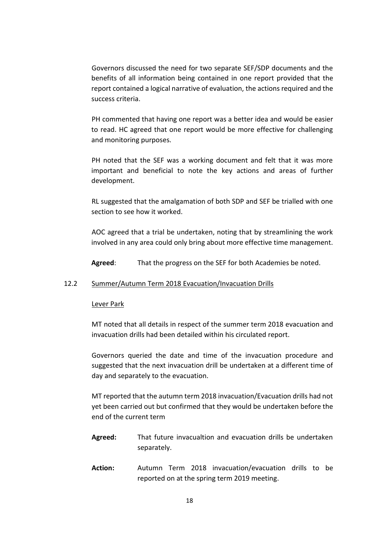Governors discussed the need for two separate SEF/SDP documents and the benefits of all information being contained in one report provided that the report contained a logical narrative of evaluation, the actions required and the success criteria.

PH commented that having one report was a better idea and would be easier to read. HC agreed that one report would be more effective for challenging and monitoring purposes.

PH noted that the SEF was a working document and felt that it was more important and beneficial to note the key actions and areas of further development.

RL suggested that the amalgamation of both SDP and SEF be trialled with one section to see how it worked.

AOC agreed that a trial be undertaken, noting that by streamlining the work involved in any area could only bring about more effective time management.

**Agreed**: That the progress on the SEF for both Academies be noted.

#### 12.2 Summer/Autumn Term 2018 Evacuation/Invacuation Drills

#### Lever Park

MT noted that all details in respect of the summer term 2018 evacuation and invacuation drills had been detailed within his circulated report.

Governors queried the date and time of the invacuation procedure and suggested that the next invacuation drill be undertaken at a different time of day and separately to the evacuation.

MT reported that the autumn term 2018 invacuation/Evacuation drills had not yet been carried out but confirmed that they would be undertaken before the end of the current term

- **Agreed:** That future invacualtion and evacuation drills be undertaken separately.
- **Action:** Autumn Term 2018 invacuation/evacuation drills to be reported on at the spring term 2019 meeting.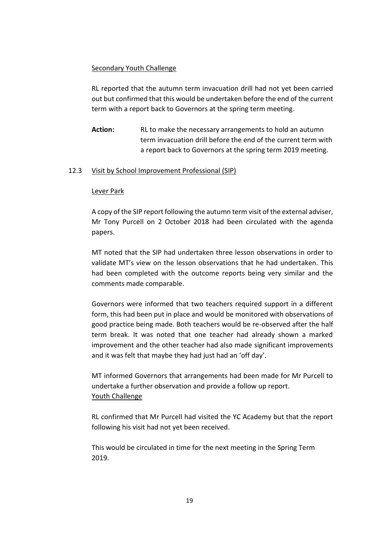## Secondary Youth Challenge

RL reported that the autumn term invacuation drill had not yet been carried out but confirmed that this would be undertaken before the end of the current term with a report back to Governors at the spring term meeting.

**Action:** RL to make the necessary arrangements to hold an autumn term invacuation drill before the end of the current term with a report back to Governors at the spring term 2019 meeting.

## 12.3 Visit by School Improvement Professional (SIP)

### Lever Park

A copy of the SIP report following the autumn term visit of the external adviser, Mr Tony Purcell on 2 October 2018 had been circulated with the agenda papers.

MT noted that the SIP had undertaken three lesson observations in order to validate MT's view on the lesson observations that he had undertaken. This had been completed with the outcome reports being very similar and the comments made comparable.

Governors were informed that two teachers required support in a different form, this had been put in place and would be monitored with observations of good practice being made. Both teachers would be re-observed after the half term break. It was noted that one teacher had already shown a marked improvement and the other teacher had also made significant improvements and it was felt that maybe they had just had an 'off day'.

MT informed Governors that arrangements had been made for Mr Purcell to undertake a further observation and provide a follow up report. Youth Challenge

RL confirmed that Mr Purcell had visited the YC Academy but that the report following his visit had not yet been received.

This would be circulated in time for the next meeting in the Spring Term 2019.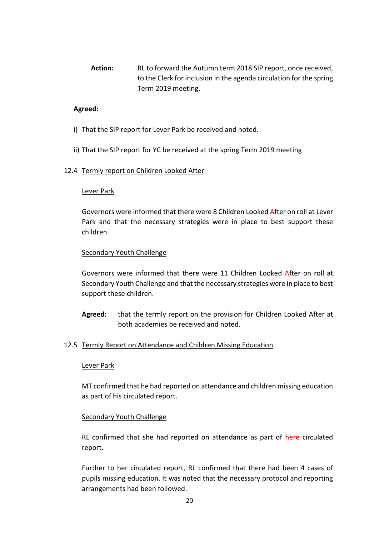**Action:** RL to forward the Autumn term 2018 SIP report, once received, to the Clerk for inclusion in the agenda circulation for the spring Term 2019 meeting.

## **Agreed:**

- i) That the SIP report for Lever Park be received and noted.
- ii) That the SIP report for YC be received at the spring Term 2019 meeting

## 12.4 Termly report on Children Looked After

### Lever Park

Governors were informed that there were 8 Children Looked After on roll at Lever Park and that the necessary strategies were in place to best support these children.

## Secondary Youth Challenge

Governors were informed that there were 11 Children Looked After on roll at Secondary Youth Challenge and that the necessary strategies were in place to best support these children.

**Agreed:** that the termly report on the provision for Children Looked After at both academies be received and noted.

### 12.5 Termly Report on Attendance and Children Missing Education

### Lever Park

MT confirmed that he had reported on attendance and children missing education as part of his circulated report.

### Secondary Youth Challenge

RL confirmed that she had reported on attendance as part of here circulated report.

Further to her circulated report, RL confirmed that there had been 4 cases of pupils missing education. It was noted that the necessary protocol and reporting arrangements had been followed.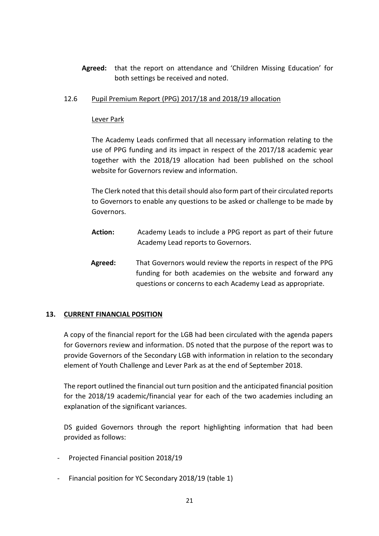**Agreed:** that the report on attendance and 'Children Missing Education' for both settings be received and noted.

# 12.6 Pupil Premium Report (PPG) 2017/18 and 2018/19 allocation

# Lever Park

The Academy Leads confirmed that all necessary information relating to the use of PPG funding and its impact in respect of the 2017/18 academic year together with the 2018/19 allocation had been published on the school website for Governors review and information.

The Clerk noted that this detail should also form part of their circulated reports to Governors to enable any questions to be asked or challenge to be made by Governors.

- **Action:** Academy Leads to include a PPG report as part of their future Academy Lead reports to Governors.
- **Agreed:** That Governors would review the reports in respect of the PPG funding for both academies on the website and forward any questions or concerns to each Academy Lead as appropriate.

# **13. CURRENT FINANCIAL POSITION**

A copy of the financial report for the LGB had been circulated with the agenda papers for Governors review and information. DS noted that the purpose of the report was to provide Governors of the Secondary LGB with information in relation to the secondary element of Youth Challenge and Lever Park as at the end of September 2018.

The report outlined the financial out turn position and the anticipated financial position for the 2018/19 academic/financial year for each of the two academies including an explanation of the significant variances.

DS guided Governors through the report highlighting information that had been provided as follows:

- Projected Financial position 2018/19
- Financial position for YC Secondary 2018/19 (table 1)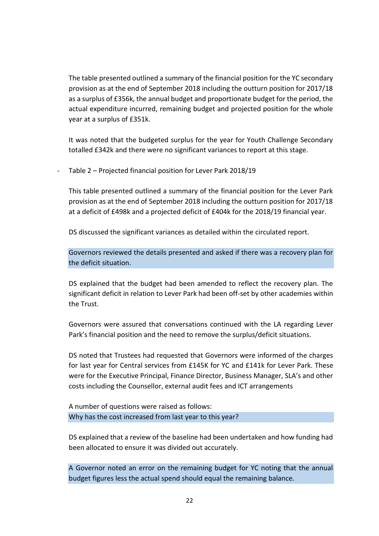The table presented outlined a summary of the financial position for the YC secondary provision as at the end of September 2018 including the outturn position for 2017/18 as a surplus of £356k, the annual budget and proportionate budget for the period, the actual expenditure incurred, remaining budget and projected position for the whole year at a surplus of £351k.

It was noted that the budgeted surplus for the year for Youth Challenge Secondary totalled £342k and there were no significant variances to report at this stage.

Table 2 – Projected financial position for Lever Park 2018/19

This table presented outlined a summary of the financial position for the Lever Park provision as at the end of September 2018 including the outturn position for 2017/18 at a deficit of £498k and a projected deficit of £404k for the 2018/19 financial year.

DS discussed the significant variances as detailed within the circulated report.

Governors reviewed the details presented and asked if there was a recovery plan for the deficit situation.

DS explained that the budget had been amended to reflect the recovery plan. The significant deficit in relation to Lever Park had been off-set by other academies within the Trust.

Governors were assured that conversations continued with the LA regarding Lever Park's financial position and the need to remove the surplus/deficit situations.

DS noted that Trustees had requested that Governors were informed of the charges for last year for Central services from £145K for YC and £141k for Lever Park. These were for the Executive Principal, Finance Director, Business Manager, SLA's and other costs including the Counsellor, external audit fees and ICT arrangements

A number of questions were raised as follows: Why has the cost increased from last year to this year?

DS explained that a review of the baseline had been undertaken and how funding had been allocated to ensure it was divided out accurately.

A Governor noted an error on the remaining budget for YC noting that the annual budget figures less the actual spend should equal the remaining balance.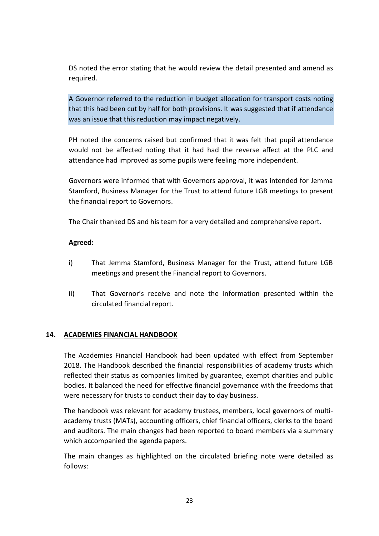DS noted the error stating that he would review the detail presented and amend as required.

A Governor referred to the reduction in budget allocation for transport costs noting that this had been cut by half for both provisions. It was suggested that if attendance was an issue that this reduction may impact negatively.

PH noted the concerns raised but confirmed that it was felt that pupil attendance would not be affected noting that it had had the reverse affect at the PLC and attendance had improved as some pupils were feeling more independent.

Governors were informed that with Governors approval, it was intended for Jemma Stamford, Business Manager for the Trust to attend future LGB meetings to present the financial report to Governors.

The Chair thanked DS and his team for a very detailed and comprehensive report.

## **Agreed:**

- i) That Jemma Stamford, Business Manager for the Trust, attend future LGB meetings and present the Financial report to Governors.
- ii) That Governor's receive and note the information presented within the circulated financial report.

### **14. ACADEMIES FINANCIAL HANDBOOK**

The Academies Financial Handbook had been updated with effect from September 2018. The Handbook described the financial responsibilities of academy trusts which reflected their status as companies limited by guarantee, exempt charities and public bodies. It balanced the need for effective financial governance with the freedoms that were necessary for trusts to conduct their day to day business.

The handbook was relevant for academy trustees, members, local governors of multiacademy trusts (MATs), accounting officers, chief financial officers, clerks to the board and auditors. The main changes had been reported to board members via a summary which accompanied the agenda papers.

The main changes as highlighted on the circulated briefing note were detailed as follows: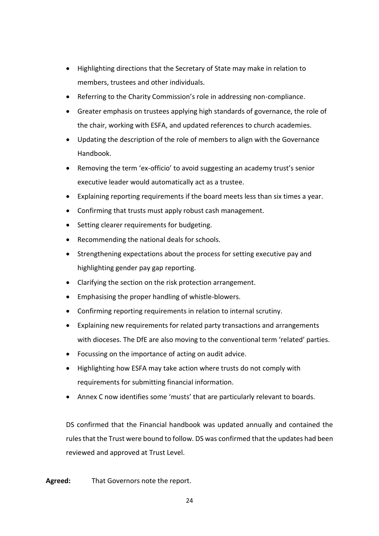- Highlighting directions that the Secretary of State may make in relation to members, trustees and other individuals.
- Referring to the Charity Commission's role in addressing non-compliance.
- Greater emphasis on trustees applying high standards of governance, the role of the chair, working with ESFA, and updated references to church academies.
- Updating the description of the role of members to align with the Governance Handbook.
- Removing the term 'ex-officio' to avoid suggesting an academy trust's senior executive leader would automatically act as a trustee.
- Explaining reporting requirements if the board meets less than six times a year.
- Confirming that trusts must apply robust cash management.
- Setting clearer requirements for budgeting.
- Recommending the national deals for schools.
- Strengthening expectations about the process for setting executive pay and highlighting gender pay gap reporting.
- Clarifying the section on the risk protection arrangement.
- Emphasising the proper handling of whistle-blowers.
- Confirming reporting requirements in relation to internal scrutiny.
- Explaining new requirements for related party transactions and arrangements with dioceses. The DfE are also moving to the conventional term 'related' parties.
- Focussing on the importance of acting on audit advice.
- Highlighting how ESFA may take action where trusts do not comply with requirements for submitting financial information.
- Annex C now identifies some 'musts' that are particularly relevant to boards.

DS confirmed that the Financial handbook was updated annually and contained the rules that the Trust were bound to follow. DS was confirmed that the updates had been reviewed and approved at Trust Level.

**Agreed:** That Governors note the report.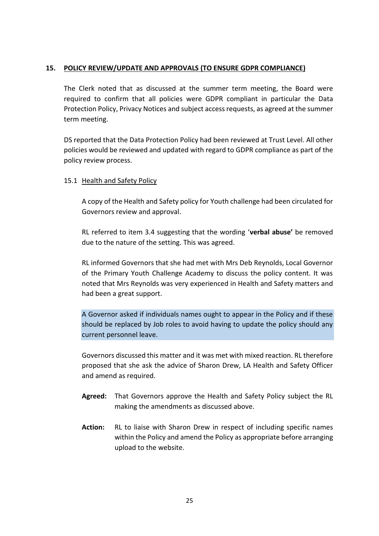## **15. POLICY REVIEW/UPDATE AND APPROVALS (TO ENSURE GDPR COMPLIANCE)**

The Clerk noted that as discussed at the summer term meeting, the Board were required to confirm that all policies were GDPR compliant in particular the Data Protection Policy, Privacy Notices and subject access requests, as agreed at the summer term meeting.

DS reported that the Data Protection Policy had been reviewed at Trust Level. All other policies would be reviewed and updated with regard to GDPR compliance as part of the policy review process.

## 15.1 Health and Safety Policy

A copy of the Health and Safety policy for Youth challenge had been circulated for Governors review and approval.

RL referred to item 3.4 suggesting that the wording '**verbal abuse'** be removed due to the nature of the setting. This was agreed.

RL informed Governors that she had met with Mrs Deb Reynolds, Local Governor of the Primary Youth Challenge Academy to discuss the policy content. It was noted that Mrs Reynolds was very experienced in Health and Safety matters and had been a great support.

A Governor asked if individuals names ought to appear in the Policy and if these should be replaced by Job roles to avoid having to update the policy should any current personnel leave.

Governors discussed this matter and it was met with mixed reaction. RL therefore proposed that she ask the advice of Sharon Drew, LA Health and Safety Officer and amend as required.

- **Agreed:** That Governors approve the Health and Safety Policy subject the RL making the amendments as discussed above.
- **Action:** RL to liaise with Sharon Drew in respect of including specific names within the Policy and amend the Policy as appropriate before arranging upload to the website.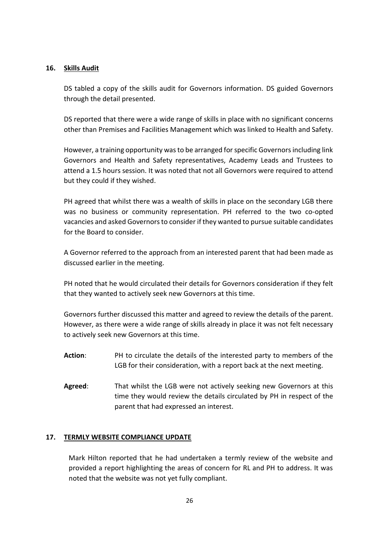## **16. Skills Audit**

DS tabled a copy of the skills audit for Governors information. DS guided Governors through the detail presented.

DS reported that there were a wide range of skills in place with no significant concerns other than Premises and Facilities Management which was linked to Health and Safety.

However, a training opportunity was to be arranged for specific Governors including link Governors and Health and Safety representatives, Academy Leads and Trustees to attend a 1.5 hours session. It was noted that not all Governors were required to attend but they could if they wished.

PH agreed that whilst there was a wealth of skills in place on the secondary LGB there was no business or community representation. PH referred to the two co-opted vacancies and asked Governors to consider if they wanted to pursue suitable candidates for the Board to consider.

A Governor referred to the approach from an interested parent that had been made as discussed earlier in the meeting.

PH noted that he would circulated their details for Governors consideration if they felt that they wanted to actively seek new Governors at this time.

Governors further discussed this matter and agreed to review the details of the parent. However, as there were a wide range of skills already in place it was not felt necessary to actively seek new Governors at this time.

- **Action**: PH to circulate the details of the interested party to members of the LGB for their consideration, with a report back at the next meeting.
- **Agreed**: That whilst the LGB were not actively seeking new Governors at this time they would review the details circulated by PH in respect of the parent that had expressed an interest.

# **17. TERMLY WEBSITE COMPLIANCE UPDATE**

Mark Hilton reported that he had undertaken a termly review of the website and provided a report highlighting the areas of concern for RL and PH to address. It was noted that the website was not yet fully compliant.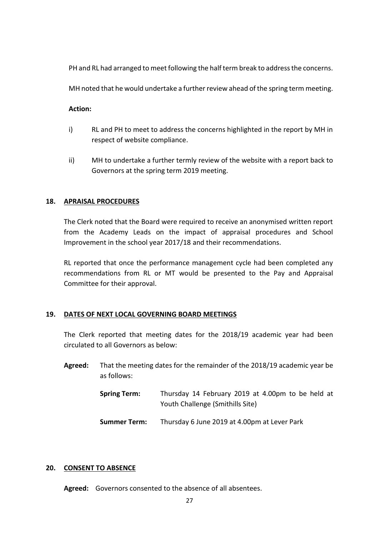PH and RL had arranged to meet following the half term break to address the concerns.

MH noted that he would undertake a further review ahead of the spring term meeting.

**Action:**

- i) RL and PH to meet to address the concerns highlighted in the report by MH in respect of website compliance.
- ii) MH to undertake a further termly review of the website with a report back to Governors at the spring term 2019 meeting.

## **18. APRAISAL PROCEDURES**

The Clerk noted that the Board were required to receive an anonymised written report from the Academy Leads on the impact of appraisal procedures and School Improvement in the school year 2017/18 and their recommendations.

RL reported that once the performance management cycle had been completed any recommendations from RL or MT would be presented to the Pay and Appraisal Committee for their approval.

### **19. DATES OF NEXT LOCAL GOVERNING BOARD MEETINGS**

The Clerk reported that meeting dates for the 2018/19 academic year had been circulated to all Governors as below:

- **Agreed:** That the meeting dates for the remainder of the 2018/19 academic year be as follows:
	- **Spring Term:** Thursday 14 February 2019 at 4.00pm to be held at Youth Challenge (Smithills Site)
	- **Summer Term:** Thursday 6 June 2019 at 4.00pm at Lever Park

### **20. CONSENT TO ABSENCE**

**Agreed:** Governors consented to the absence of all absentees.